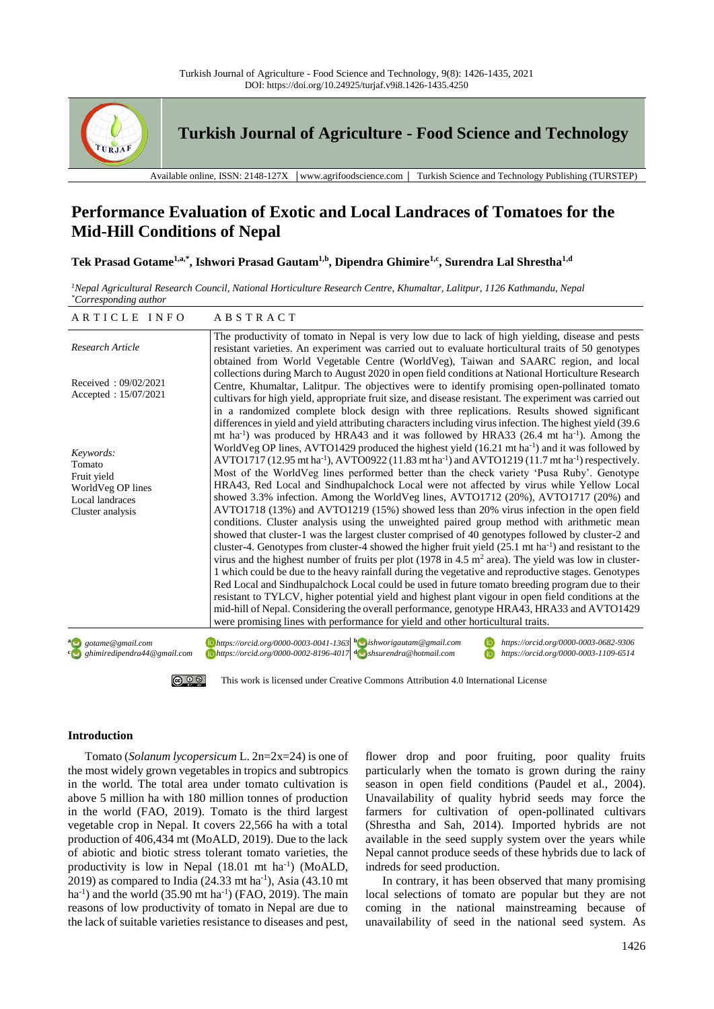

**Turkish Journal of Agriculture - Food Science and Technology**

Available online, ISSN: 2148-127X │www.agrifoodscience.com │ Turkish Science and Technology Publishing (TURSTEP)

# **Performance Evaluation of Exotic and Local Landraces of Tomatoes for the Mid-Hill Conditions of Nepal**

**Tek Prasad Gotame1,a,\*, Ishwori Prasad Gautam1,b, Dipendra Ghimire1,c, Surendra Lal Shrestha1,d**

*<sup>1</sup>Nepal Agricultural Research Council, National Horticulture Research Centre, Khumaltar, Lalitpur, 1126 Kathmandu, Nepal \*Corresponding author*

| ARTICLE INFO                                                                                   | ABSTRACT                                                                                                                                                                                                                                                                                                                                                                                                                                                                                                                                                                                                                                                                                                                                                                                                                                                                                                                                                                                                                                                                                                                                                                                                                                                                                                                                                                                                                                                                                                                                                                                                                                                                            |
|------------------------------------------------------------------------------------------------|-------------------------------------------------------------------------------------------------------------------------------------------------------------------------------------------------------------------------------------------------------------------------------------------------------------------------------------------------------------------------------------------------------------------------------------------------------------------------------------------------------------------------------------------------------------------------------------------------------------------------------------------------------------------------------------------------------------------------------------------------------------------------------------------------------------------------------------------------------------------------------------------------------------------------------------------------------------------------------------------------------------------------------------------------------------------------------------------------------------------------------------------------------------------------------------------------------------------------------------------------------------------------------------------------------------------------------------------------------------------------------------------------------------------------------------------------------------------------------------------------------------------------------------------------------------------------------------------------------------------------------------------------------------------------------------|
| Research Article                                                                               | The productivity of tomato in Nepal is very low due to lack of high yielding, disease and pests<br>resistant varieties. An experiment was carried out to evaluate horticultural traits of 50 genotypes<br>obtained from World Vegetable Centre (WorldVeg), Taiwan and SAARC region, and local                                                                                                                                                                                                                                                                                                                                                                                                                                                                                                                                                                                                                                                                                                                                                                                                                                                                                                                                                                                                                                                                                                                                                                                                                                                                                                                                                                                       |
| Received: $09/02/2021$<br>Accepted: 15/07/2021                                                 | collections during March to August 2020 in open field conditions at National Horticulture Research<br>Centre, Khumaltar, Lalitpur. The objectives were to identify promising open-pollinated tomato<br>cultivars for high yield, appropriate fruit size, and disease resistant. The experiment was carried out<br>in a randomized complete block design with three replications. Results showed significant<br>differences in yield and yield attributing characters including virus infection. The highest yield (39.6)                                                                                                                                                                                                                                                                                                                                                                                                                                                                                                                                                                                                                                                                                                                                                                                                                                                                                                                                                                                                                                                                                                                                                            |
| Keywords:<br>Tomato<br>Fruit yield<br>WorldVeg OP lines<br>Local landraces<br>Cluster analysis | mt ha <sup>-1</sup> ) was produced by HRA43 and it was followed by HRA33 (26.4 mt ha <sup>-1</sup> ). Among the<br>WorldVeg OP lines, AVTO1429 produced the highest yield $(16.21 \text{ mt ha}^{-1})$ and it was followed by<br>AVTO1717 (12.95 mt ha <sup>-1</sup> ), AVTO0922 (11.83 mt ha <sup>-1</sup> ) and AVTO1219 (11.7 mt ha <sup>-1</sup> ) respectively.<br>Most of the WorldVeg lines performed better than the check variety 'Pusa Ruby'. Genotype<br>HRA43, Red Local and Sindhupalchock Local were not affected by virus while Yellow Local<br>showed 3.3% infection. Among the WorldVeg lines, AVTO1712 (20%), AVTO1717 (20%) and<br>AVTO1718 (13%) and AVTO1219 (15%) showed less than 20% virus infection in the open field<br>conditions. Cluster analysis using the unweighted paired group method with arithmetic mean<br>showed that cluster-1 was the largest cluster comprised of 40 genotypes followed by cluster-2 and<br>cluster-4. Genotypes from cluster-4 showed the higher fruit yield $(25.1 \text{ mt ha}^{-1})$ and resistant to the<br>virus and the highest number of fruits per plot (1978 in 4.5 $m2$ area). The yield was low in cluster-<br>1 which could be due to the heavy rainfall during the vegetative and reproductive stages. Genotypes<br>Red Local and Sindhupalchock Local could be used in future tomato breeding program due to their<br>resistant to TYLCV, higher potential yield and highest plant vigour in open field conditions at the<br>mid-hill of Nepal. Considering the overall performance, genotype HRA43, HRA33 and AVTO1429<br>were promising lines with performance for yield and other horticultural traits. |
| as gotame@gmail.com<br>ghimiredipendra44@gmail.com                                             | $\Box$ https://orcid.org/0000-0003-0041-1363 boshworigautam@gmail.com<br>https://orcid.org/0000-0003-0682-9306<br>$\Box$ https://orcid.org/0000-0002-8196-4017 $\Box$ shsurendra@hotmail.com<br>https://orcid.org/0000-0003-1109-6514                                                                                                                                                                                                                                                                                                                                                                                                                                                                                                                                                                                                                                                                                                                                                                                                                                                                                                                                                                                                                                                                                                                                                                                                                                                                                                                                                                                                                                               |

#### [This work is licensed under Creative Commons Attribution 4.0 International License](http://creativecommons.org/licenses/by-nc/4.0/) <u>© 0 ® </u>

# **Introduction**

Tomato (*Solanum lycopersicum* L. 2n=2x=24) is one of the most widely grown vegetables in tropics and subtropics in the world. The total area under tomato cultivation is above 5 million ha with 180 million tonnes of production in the world (FAO, 2019). Tomato is the third largest vegetable crop in Nepal. It covers 22,566 ha with a total production of 406,434 mt (MoALD, 2019). Due to the lack of abiotic and biotic stress tolerant tomato varieties, the productivity is low in Nepal (18.01 mt ha<sup>-1</sup>) (MoALD, 2019) as compared to India  $(24.33 \text{ mt ha}^{-1})$ , Asia  $(43.10 \text{ mt}^{-1})$  $ha^{-1}$ ) and the world (35.90 mt  $ha^{-1}$ ) (FAO, 2019). The main reasons of low productivity of tomato in Nepal are due to the lack of suitable varieties resistance to diseases and pest,

flower drop and poor fruiting, poor quality fruits particularly when the tomato is grown during the rainy season in open field conditions (Paudel et al., 2004). Unavailability of quality hybrid seeds may force the farmers for cultivation of open-pollinated cultivars (Shrestha and Sah, 2014). Imported hybrids are not available in the seed supply system over the years while Nepal cannot produce seeds of these hybrids due to lack of indreds for seed production.

In contrary, it has been observed that many promising local selections of tomato are popular but they are not coming in the national mainstreaming because of unavailability of seed in the national seed system. As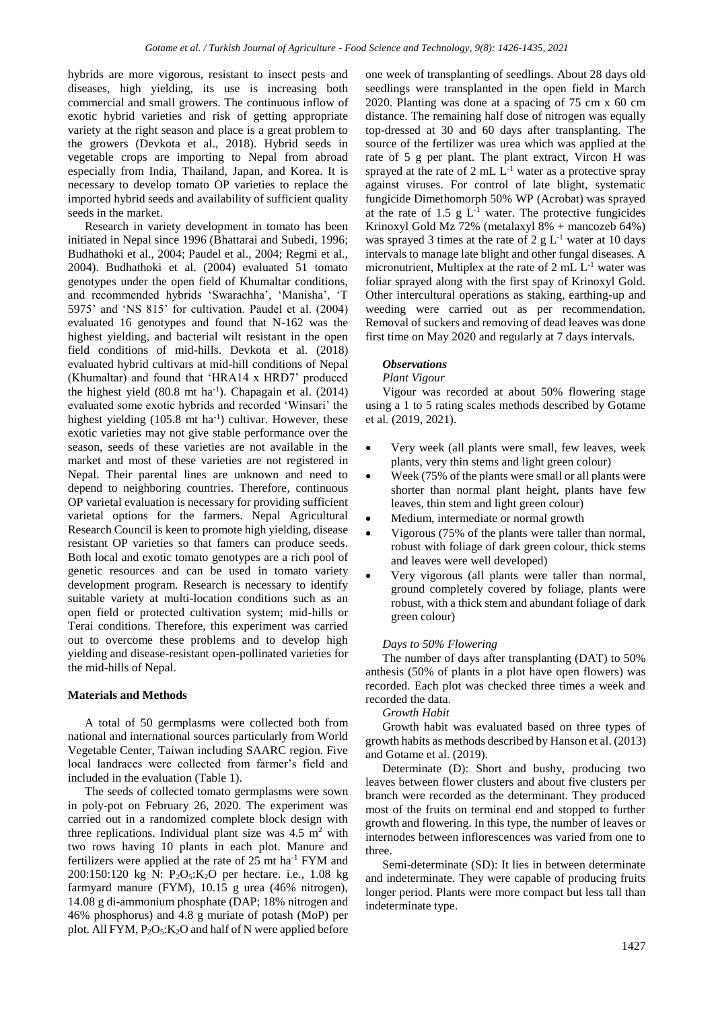hybrids are more vigorous, resistant to insect pests and diseases, high yielding, its use is increasing both commercial and small growers. The continuous inflow of exotic hybrid varieties and risk of getting appropriate variety at the right season and place is a great problem to the growers (Devkota et al., 2018). Hybrid seeds in vegetable crops are importing to Nepal from abroad especially from India, Thailand, Japan, and Korea. It is necessary to develop tomato OP varieties to replace the imported hybrid seeds and availability of sufficient quality seeds in the market.

Research in variety development in tomato has been initiated in Nepal since 1996 (Bhattarai and Subedi, 1996; Budhathoki et al., 2004; Paudel et al., 2004; Regmi et al., 2004). Budhathoki et al. (2004) evaluated 51 tomato genotypes under the open field of Khumaltar conditions, and recommended hybrids 'Swarachha', 'Manisha', 'T 5975' and 'NS 815' for cultivation. Paudel et al. (2004) evaluated 16 genotypes and found that N-162 was the highest yielding, and bacterial wilt resistant in the open field conditions of mid-hills. Devkota et al. (2018) evaluated hybrid cultivars at mid-hill conditions of Nepal (Khumaltar) and found that 'HRA14 x HRD7' produced the highest yield  $(80.8 \text{ mt ha}^{-1})$ . Chapagain et al.  $(2014)$ evaluated some exotic hybrids and recorded 'Winsari' the highest yielding (105.8 mt ha<sup>-1</sup>) cultivar. However, these exotic varieties may not give stable performance over the season, seeds of these varieties are not available in the market and most of these varieties are not registered in Nepal. Their parental lines are unknown and need to depend to neighboring countries. Therefore, continuous OP varietal evaluation is necessary for providing sufficient varietal options for the farmers. Nepal Agricultural Research Council is keen to promote high yielding, disease resistant OP varieties so that famers can produce seeds. Both local and exotic tomato genotypes are a rich pool of genetic resources and can be used in tomato variety development program. Research is necessary to identify suitable variety at multi-location conditions such as an open field or protected cultivation system; mid-hills or Terai conditions. Therefore, this experiment was carried out to overcome these problems and to develop high yielding and disease-resistant open-pollinated varieties for the mid-hills of Nepal.

## **Materials and Methods**

A total of 50 germplasms were collected both from national and international sources particularly from World Vegetable Center, Taiwan including SAARC region. Five local landraces were collected from farmer's field and included in the evaluation (Table 1).

The seeds of collected tomato germplasms were sown in poly-pot on February 26, 2020. The experiment was carried out in a randomized complete block design with three replications. Individual plant size was  $4.5 \text{ m}^2$  with two rows having 10 plants in each plot. Manure and fertilizers were applied at the rate of  $25 \text{ mt} \text{ ha}^{-1}$  FYM and 200:150:120 kg N: P2O5:K2O per hectare. i.e., 1.08 kg farmyard manure (FYM), 10.15 g urea (46% nitrogen), 14.08 g di-ammonium phosphate (DAP; 18% nitrogen and 46% phosphorus) and 4.8 g muriate of potash (MoP) per plot. All FYM,  $P_2O_5$ :  $K_2O$  and half of N were applied before one week of transplanting of seedlings. About 28 days old seedlings were transplanted in the open field in March 2020. Planting was done at a spacing of 75 cm x 60 cm distance. The remaining half dose of nitrogen was equally top-dressed at 30 and 60 days after transplanting. The source of the fertilizer was urea which was applied at the rate of 5 g per plant. The plant extract, Vircon H was sprayed at the rate of  $2 \text{ mL } L^{-1}$  water as a protective spray against viruses. For control of late blight, systematic fungicide Dimethomorph 50% WP (Acrobat) was sprayed at the rate of 1.5 g  $L^{-1}$  water. The protective fungicides Krinoxyl Gold Mz 72% (metalaxyl 8% + mancozeb 64%) was sprayed 3 times at the rate of 2 g  $L^{-1}$  water at 10 days intervals to manage late blight and other fungal diseases. A micronutrient, Multiplex at the rate of  $2 \text{ mL } L^{-1}$  water was foliar sprayed along with the first spay of Krinoxyl Gold. Other intercultural operations as staking, earthing-up and weeding were carried out as per recommendation. Removal of suckers and removing of dead leaves was done first time on May 2020 and regularly at 7 days intervals.

#### *Observations*

#### *Plant Vigour*

Vigour was recorded at about 50% flowering stage using a 1 to 5 rating scales methods described by Gotame et al. (2019, 2021).

- Very week (all plants were small, few leaves, week plants, very thin stems and light green colour)
- Week (75% of the plants were small or all plants were shorter than normal plant height, plants have few leaves, thin stem and light green colour)
- Medium, intermediate or normal growth
- Vigorous (75% of the plants were taller than normal, robust with foliage of dark green colour, thick stems and leaves were well developed)
- Very vigorous (all plants were taller than normal, ground completely covered by foliage, plants were robust, with a thick stem and abundant foliage of dark green colour)

#### *Days to 50% Flowering*

The number of days after transplanting (DAT) to 50% anthesis (50% of plants in a plot have open flowers) was recorded. Each plot was checked three times a week and recorded the data.

# *Growth Habit*

Growth habit was evaluated based on three types of growth habits as methods described by Hanson et al. (2013) and Gotame et al. (2019).

Determinate (D): Short and bushy, producing two leaves between flower clusters and about five clusters per branch were recorded as the determinant. They produced most of the fruits on terminal end and stopped to further growth and flowering. In this type, the number of leaves or internodes between inflorescences was varied from one to three.

Semi-determinate (SD): It lies in between determinate and indeterminate. They were capable of producing fruits longer period. Plants were more compact but less tall than indeterminate type.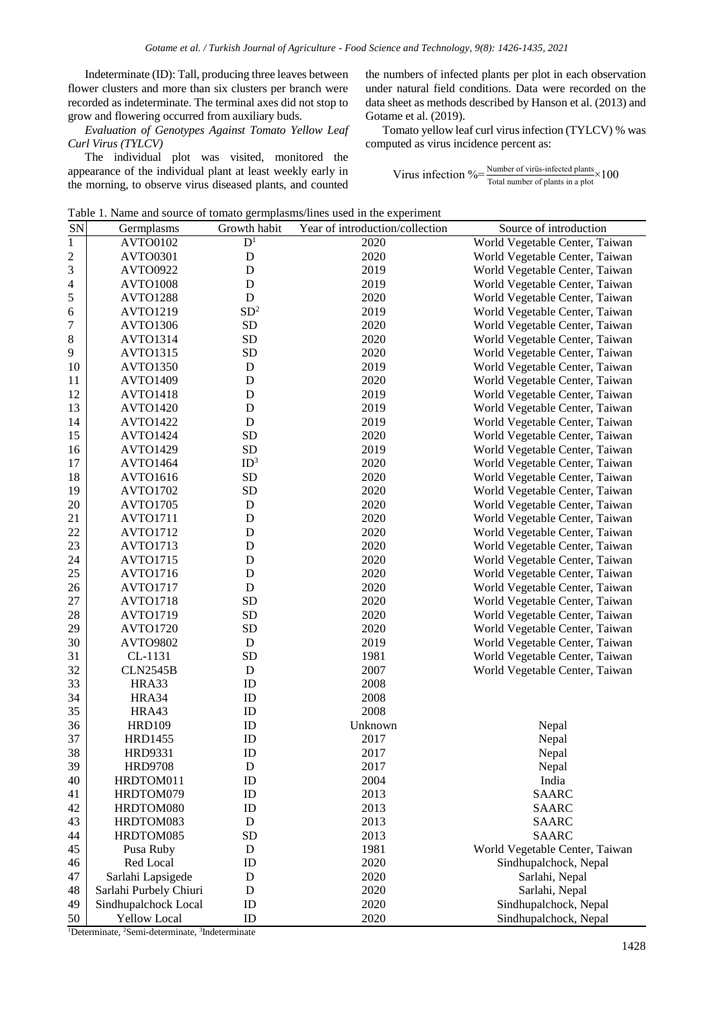Indeterminate (ID): Tall, producing three leaves between flower clusters and more than six clusters per branch were recorded as indeterminate. The terminal axes did not stop to grow and flowering occurred from auxiliary buds.

*Evaluation of Genotypes Against Tomato Yellow Leaf Curl Virus (TYLCV)* 

The individual plot was visited, monitored the appearance of the individual plant at least weekly early in the morning, to observe virus diseased plants, and counted the numbers of infected plants per plot in each observation under natural field conditions. Data were recorded on the data sheet as methods described by Hanson et al. (2013) and Gotame et al. (2019).

Tomato yellow leaf curl virus infection (TYLCV) % was computed as virus incidence percent as:

Virus infection  $\% = \frac{\text{Number of viris-infected plants}}{\text{Total number of plants in a plot}} \times 100$ 

Table 1. Name and source of tomato germplasms/lines used in the experiment

| SN             | Germplasms             | Growth habit    | Twice T. Pump and source of tomato germphasins/fines used in the experiment<br>Year of introduction/collection | Source of introduction         |
|----------------|------------------------|-----------------|----------------------------------------------------------------------------------------------------------------|--------------------------------|
| $\,1\,$        | AVTO0102               | $D^1$           | 2020                                                                                                           | World Vegetable Center, Taiwan |
| $\overline{c}$ | AVTO0301               | D               | 2020                                                                                                           | World Vegetable Center, Taiwan |
| 3              | AVTO0922               | D               | 2019                                                                                                           | World Vegetable Center, Taiwan |
|                | AVTO1008               | $\mathbf D$     | 2019                                                                                                           | World Vegetable Center, Taiwan |
| 4              | <b>AVTO1288</b>        | D               | 2020                                                                                                           |                                |
| 5              |                        | SD <sup>2</sup> |                                                                                                                | World Vegetable Center, Taiwan |
| 6              | AVTO1219               |                 | 2019                                                                                                           | World Vegetable Center, Taiwan |
| $\overline{7}$ | AVTO1306               | <b>SD</b>       | 2020                                                                                                           | World Vegetable Center, Taiwan |
| 8              | AVTO1314               | <b>SD</b>       | 2020                                                                                                           | World Vegetable Center, Taiwan |
| 9              | <b>AVTO1315</b>        | <b>SD</b>       | 2020                                                                                                           | World Vegetable Center, Taiwan |
| 10             | <b>AVTO1350</b>        | $\mathbf D$     | 2019                                                                                                           | World Vegetable Center, Taiwan |
| 11             | AVTO1409               | $\mathbf D$     | 2020                                                                                                           | World Vegetable Center, Taiwan |
| 12             | <b>AVTO1418</b>        | $\mathbf D$     | 2019                                                                                                           | World Vegetable Center, Taiwan |
| 13             | <b>AVTO1420</b>        | ${\bf D}$       | 2019                                                                                                           | World Vegetable Center, Taiwan |
| 14             | <b>AVTO1422</b>        | D               | 2019                                                                                                           | World Vegetable Center, Taiwan |
| 15             | <b>AVTO1424</b>        | <b>SD</b>       | 2020                                                                                                           | World Vegetable Center, Taiwan |
| 16             | <b>AVTO1429</b>        | <b>SD</b>       | 2019                                                                                                           | World Vegetable Center, Taiwan |
| 17             | AVTO1464               | ID <sup>3</sup> | 2020                                                                                                           | World Vegetable Center, Taiwan |
| 18             | AVTO1616               | <b>SD</b>       | 2020                                                                                                           | World Vegetable Center, Taiwan |
| 19             | AVTO1702               | <b>SD</b>       | 2020                                                                                                           | World Vegetable Center, Taiwan |
| 20             | AVTO1705               | $\mathbf D$     | 2020                                                                                                           | World Vegetable Center, Taiwan |
| 21             | <b>AVTO1711</b>        | D               | 2020                                                                                                           | World Vegetable Center, Taiwan |
| 22             | <b>AVTO1712</b>        | $\mathbf D$     | 2020                                                                                                           | World Vegetable Center, Taiwan |
| 23             | AVTO1713               | $\mathbf D$     | 2020                                                                                                           | World Vegetable Center, Taiwan |
| 24             | <b>AVTO1715</b>        | $\mathbf D$     | 2020                                                                                                           | World Vegetable Center, Taiwan |
| 25             | AVTO1716               | $\mathbf D$     | 2020                                                                                                           | World Vegetable Center, Taiwan |
| 26             | AVTO1717               | ${\bf D}$       | 2020                                                                                                           | World Vegetable Center, Taiwan |
| 27             | AVTO1718               | <b>SD</b>       | 2020                                                                                                           | World Vegetable Center, Taiwan |
| 28             | <b>AVTO1719</b>        | <b>SD</b>       | 2020                                                                                                           | World Vegetable Center, Taiwan |
| 29             | AVTO1720               | <b>SD</b>       | 2020                                                                                                           | World Vegetable Center, Taiwan |
| 30             | <b>AVTO9802</b>        | D               | 2019                                                                                                           | World Vegetable Center, Taiwan |
| 31             | CL-1131                | <b>SD</b>       | 1981                                                                                                           | World Vegetable Center, Taiwan |
| 32             | <b>CLN2545B</b>        | ${\rm D}$       | 2007                                                                                                           | World Vegetable Center, Taiwan |
| 33             | HRA33                  | ID              | 2008                                                                                                           |                                |
| 34             | HRA34                  | ID              | 2008                                                                                                           |                                |
| 35             | HRA43                  | ID              | 2008                                                                                                           |                                |
| 36             | <b>HRD109</b>          | ID              | Unknown                                                                                                        | Nepal                          |
| 37             | <b>HRD1455</b>         | ID              | 2017                                                                                                           | Nepal                          |
| 38             | HRD9331                | ID              | 2017                                                                                                           | Nepal                          |
| 39             | <b>HRD9708</b>         | D               | 2017                                                                                                           | Nepal                          |
| 40             | HRDTOM011              | ID              | 2004                                                                                                           | India                          |
| 41             | HRDTOM079              | ID              | 2013                                                                                                           | <b>SAARC</b>                   |
| 42             | HRDTOM080              | ID              | 2013                                                                                                           | <b>SAARC</b>                   |
| 43             | HRDTOM083              | D               | 2013                                                                                                           | <b>SAARC</b>                   |
| 44             | HRDTOM085              | <b>SD</b>       | 2013                                                                                                           | <b>SAARC</b>                   |
| 45             | Pusa Ruby              | D               | 1981                                                                                                           | World Vegetable Center, Taiwan |
| 46             | Red Local              | ID              | 2020                                                                                                           | Sindhupalchock, Nepal          |
| 47             | Sarlahi Lapsigede      | ${\rm D}$       | 2020                                                                                                           | Sarlahi, Nepal                 |
| 48             | Sarlahi Purbely Chiuri | ${\bf D}$       | 2020                                                                                                           | Sarlahi, Nepal                 |
| 49             | Sindhupalchock Local   | ID              | 2020                                                                                                           | Sindhupalchock, Nepal          |
| 50             | Yellow Local           | ID              | 2020                                                                                                           | Sindhupalchock, Nepal          |

<sup>1</sup>Determinate, <sup>2</sup>Semi-determinate, <sup>3</sup>Indeterminate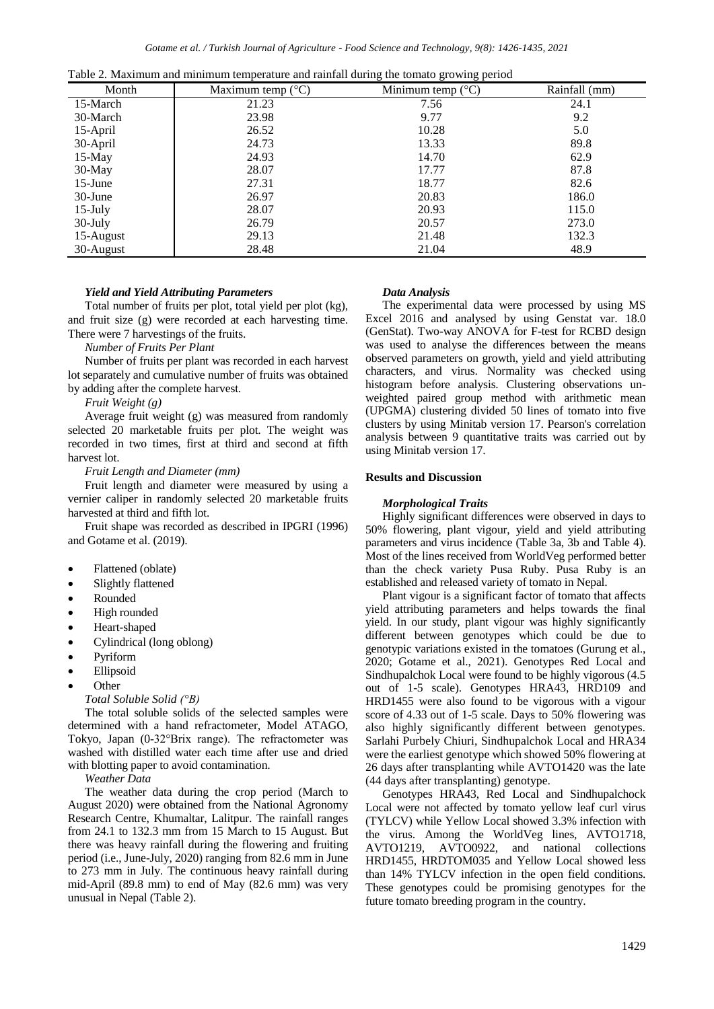|            | Tuble 2. Maximum and minimum temperature and runnan during the tomato growing period |                            |               |  |  |  |  |
|------------|--------------------------------------------------------------------------------------|----------------------------|---------------|--|--|--|--|
| Month      | Maximum temp $(^{\circ}C)$                                                           | Minimum temp $(^{\circ}C)$ | Rainfall (mm) |  |  |  |  |
| 15-March   | 21.23                                                                                | 7.56                       | 24.1          |  |  |  |  |
| 30-March   | 23.98                                                                                | 9.77                       | 9.2           |  |  |  |  |
| 15-April   | 26.52                                                                                | 10.28                      | 5.0           |  |  |  |  |
| 30-April   | 24.73                                                                                | 13.33                      | 89.8          |  |  |  |  |
| 15-May     | 24.93                                                                                | 14.70                      | 62.9          |  |  |  |  |
| 30-May     | 28.07                                                                                | 17.77                      | 87.8          |  |  |  |  |
| $15$ -June | 27.31                                                                                | 18.77                      | 82.6          |  |  |  |  |
| $30$ -June | 26.97                                                                                | 20.83                      | 186.0         |  |  |  |  |
| $15$ -July | 28.07                                                                                | 20.93                      | 115.0         |  |  |  |  |
| 30-July    | 26.79                                                                                | 20.57                      | 273.0         |  |  |  |  |
| 15-August  | 29.13                                                                                | 21.48                      | 132.3         |  |  |  |  |
| 30-August  | 28.48                                                                                | 21.04                      | 48.9          |  |  |  |  |

Table 2. Maximum and minimum temperature and rainfall during the tomato growing period

# *Yield and Yield Attributing Parameters*

Total number of fruits per plot, total yield per plot (kg), and fruit size (g) were recorded at each harvesting time. There were 7 harvestings of the fruits.

## *Number of Fruits Per Plant*

Number of fruits per plant was recorded in each harvest lot separately and cumulative number of fruits was obtained by adding after the complete harvest.

## *Fruit Weight (g)*

Average fruit weight (g) was measured from randomly selected 20 marketable fruits per plot. The weight was recorded in two times, first at third and second at fifth harvest lot.

# *Fruit Length and Diameter (mm)*

Fruit length and diameter were measured by using a vernier caliper in randomly selected 20 marketable fruits harvested at third and fifth lot.

Fruit shape was recorded as described in IPGRI (1996) and Gotame et al. (2019).

- Flattened (oblate)
- Slightly flattened
- Rounded
- High rounded
- Heart-shaped
- Cylindrical (long oblong)
- Pyriform
- Ellipsoid
- **Other**

# *Total Soluble Solid (°B)*

The total soluble solids of the selected samples were determined with a hand refractometer, Model ATAGO, Tokyo, Japan (0-32°Brix range). The refractometer was washed with distilled water each time after use and dried with blotting paper to avoid contamination.

*Weather Data* 

The weather data during the crop period (March to August 2020) were obtained from the National Agronomy Research Centre, Khumaltar, Lalitpur. The rainfall ranges from 24.1 to 132.3 mm from 15 March to 15 August. But there was heavy rainfall during the flowering and fruiting period (i.e., June-July, 2020) ranging from 82.6 mm in June to 273 mm in July. The continuous heavy rainfall during mid-April (89.8 mm) to end of May (82.6 mm) was very unusual in Nepal (Table 2).

## *Data Analysis*

The experimental data were processed by using MS Excel 2016 and analysed by using Genstat var. 18.0 (GenStat). Two-way ANOVA for F-test for RCBD design was used to analyse the differences between the means observed parameters on growth, yield and yield attributing characters, and virus. Normality was checked using histogram before analysis. Clustering observations unweighted paired group method with arithmetic mean (UPGMA) clustering divided 50 lines of tomato into five clusters by using Minitab version 17. Pearson's correlation analysis between 9 quantitative traits was carried out by using Minitab version 17.

# **Results and Discussion**

# *Morphological Traits*

Highly significant differences were observed in days to 50% flowering, plant vigour, yield and yield attributing parameters and virus incidence (Table 3a, 3b and Table 4). Most of the lines received from WorldVeg performed better than the check variety Pusa Ruby. Pusa Ruby is an established and released variety of tomato in Nepal.

Plant vigour is a significant factor of tomato that affects yield attributing parameters and helps towards the final yield. In our study, plant vigour was highly significantly different between genotypes which could be due to genotypic variations existed in the tomatoes (Gurung et al., 2020; Gotame et al., 2021). Genotypes Red Local and Sindhupalchok Local were found to be highly vigorous (4.5 out of 1-5 scale). Genotypes HRA43, HRD109 and HRD1455 were also found to be vigorous with a vigour score of 4.33 out of 1-5 scale. Days to 50% flowering was also highly significantly different between genotypes. Sarlahi Purbely Chiuri, Sindhupalchok Local and HRA34 were the earliest genotype which showed 50% flowering at 26 days after transplanting while AVTO1420 was the late (44 days after transplanting) genotype.

Genotypes HRA43, Red Local and Sindhupalchock Local were not affected by tomato yellow leaf curl virus (TYLCV) while Yellow Local showed 3.3% infection with the virus. Among the WorldVeg lines, AVTO1718, AVTO1219, AVTO0922, and national collections HRD1455, HRDTOM035 and Yellow Local showed less than 14% TYLCV infection in the open field conditions. These genotypes could be promising genotypes for the future tomato breeding program in the country.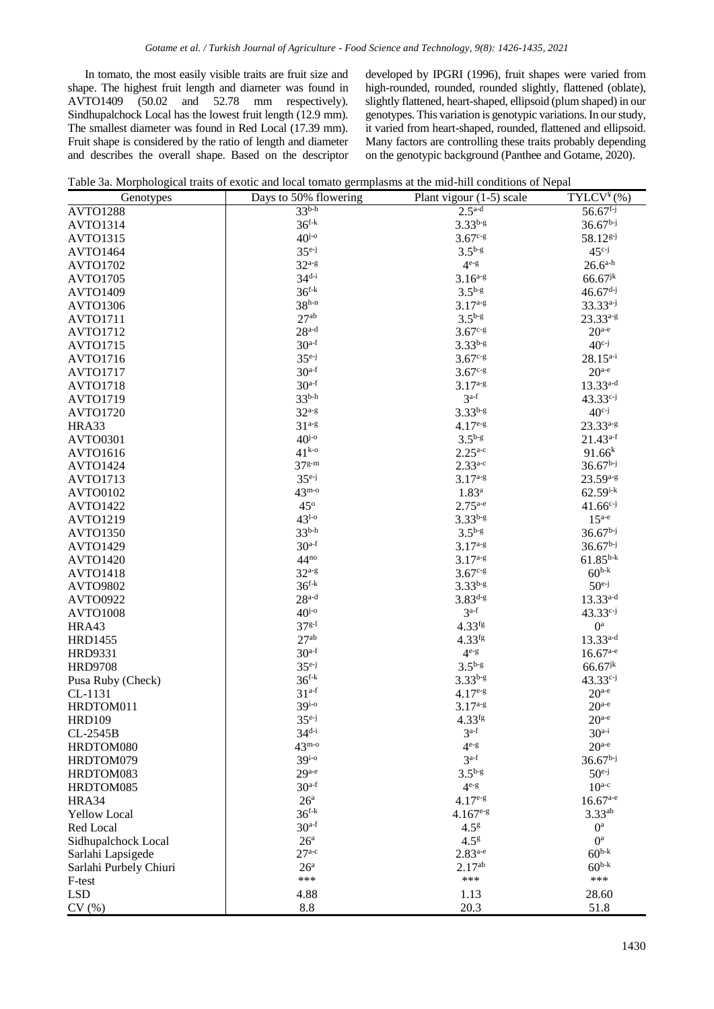In tomato, the most easily visible traits are fruit size and shape. The highest fruit length and diameter was found in AVTO1409 (50.02 and 52.78 mm respectively).  $(50.02 \text{ and } 52.78 \text{ mm respectively}).$ Sindhupalchock Local has the lowest fruit length (12.9 mm). The smallest diameter was found in Red Local (17.39 mm). Fruit shape is considered by the ratio of length and diameter and describes the overall shape. Based on the descriptor developed by IPGRI (1996), fruit shapes were varied from high-rounded, rounded, rounded slightly, flattened (oblate), slightly flattened, heart-shaped, ellipsoid (plum shaped) in our genotypes. This variation is genotypic variations. In our study, it varied from heart-shaped, rounded, flattened and ellipsoid. Many factors are controlling these traits probably depending on the genotypic background (Panthee and Gotame, 2020).

|  |  | Table 3a. Morphological traits of exotic and local tomato germplasms at the mid-hill conditions of Nepal |  |
|--|--|----------------------------------------------------------------------------------------------------------|--|
|  |  |                                                                                                          |  |

| Genotypes              | Days to 50% flowering | Plant vigour $(1-5)$ scale | $\overline{\text{TYLCV}}^{*}(\%)$ |
|------------------------|-----------------------|----------------------------|-----------------------------------|
| <b>AVTO1288</b>        | $33b-h$               | $2.5^{\mathrm{a-d}}$       | $56.67^{f-j}$                     |
| <b>AVTO1314</b>        | $36^{f-k}$            | $3.33^{b-g}$               | $36.67b-j$                        |
| <b>AVTO1315</b>        | $40^{j-o}$            | $3.67c-g$                  | 58.12 <sup>g-j</sup>              |
| <b>AVTO1464</b>        | $35e-j$               | $3.5^{b-g}$                | $45^{c-j}$                        |
| <b>AVTO1702</b>        | $32^{a-g}$            | $4^{e-g}$                  | $26.6^{a-h}$                      |
| <b>AVTO1705</b>        | $34^{d-i}$            | $3.16^{a-g}$               | $66.67$ <sup>jk</sup>             |
| <b>AVTO1409</b>        | $36^{f-k}$            | $3.5^{b-g}$                | $46.67d-j$                        |
| <b>AVTO1306</b>        | $38h-n$               | $3.17^{a-g}$               | $33.33^{a-j}$                     |
| <b>AVTO1711</b>        | $27^{ab}$             | $3.5^{b-g}$                | $23.33^{a-g}$                     |
| <b>AVTO1712</b>        | $28a-d$               | $3.67^{c-g}$               | $20^{a-e}$                        |
| <b>AVTO1715</b>        | $30a-f$               | $3.33^{b-g}$               | $40^{c-j}$                        |
| <b>AVTO1716</b>        | $35^{e-j}$            | $3.67c-g$                  | $28.15^{a-i}$                     |
| <b>AVTO1717</b>        | $30a-f$               | $3.67c-g$                  | $20^{a-e}$                        |
| <b>AVTO1718</b>        | $30a-f$               | $3.17^{a-g}$               | $13.33^{a-d}$                     |
| <b>AVTO1719</b>        | $33^{b-h}$            | $3^{a-f}$                  | $43.33^{c-j}$                     |
| <b>AVTO1720</b>        | $32^{a-g}$            | $3.33^{b-g}$               | $40^{c-j}$                        |
| HRA33                  | $31^{a-g}$            | $4.17e-g$                  | $23.33^{a-g}$                     |
| <b>AVTO0301</b>        | $40^{j-o}$            | $3.5^{b-g}$                | $21.43^{a-f}$                     |
| AVTO1616               | $41^{k-o}$            | $2.25^{a-c}$               | $91.66^{k}$                       |
| <b>AVTO1424</b>        | $37g-m$               | $2.33^{a-c}$               | $36.67^{b-j}$                     |
| <b>AVTO1713</b>        | $35^{e-j}$            | $3.17^{a-g}$               | $23.59^{a-g}$                     |
| <b>AVTO0102</b>        | $43^{\mathrm{m-o}}$   | 1.83 <sup>a</sup>          | $62.59^{i-k}$                     |
| <b>AVTO1422</b>        | $45^{\circ}$          | $2.75^{a-e}$               | $41.66^{c-j}$                     |
| <b>AVTO1219</b>        | $43^{1-0}$            | $3.33^{b-g}$               | $15^{a-e}$                        |
| <b>AVTO1350</b>        | $33^{b-h}$            | $3.5^{b-g}$                | $36.67^{b-j}$                     |
| <b>AVTO1429</b>        | $30a-f$               | $3.17^{a-g}$               | $36.67b-j$                        |
| <b>AVTO1420</b>        | $44^{no}$             | $3.17^{a-g}$               | $61.85^{h-k}$                     |
| <b>AVTO1418</b>        | $32a-g$               | $3.67c-g$                  | $60^{h-k}$                        |
| <b>AVTO9802</b>        | $36^{f-k}$            | $3.33^{b-g}$               | $50^{e-j}$                        |
| <b>AVTO0922</b>        | $28a-d$               | $3.83^{d-g}$               | $13.33^{a-d}$                     |
| <b>AVTO1008</b>        | $40^{j-o}$            | $3a-f$                     | $43.33^{c-j}$                     |
| HRA43                  | $37^{g-1}$            | $4.33$ <sup>fg</sup>       | $0^a$                             |
| <b>HRD1455</b>         | 27 <sup>ab</sup>      | $4.33$ <sup>fg</sup>       | $13.33^{a-d}$                     |
| <b>HRD9331</b>         | $30a-f$               | $4^{e-g}$                  | $16.67$ <sup>a-e</sup>            |
| <b>HRD9708</b>         | $35^{e-j}$            | $3.5^{b-g}$                | $66.67$ <sup>jk</sup>             |
| Pusa Ruby (Check)      | $36^{f-k}$            | $3.33^{b-g}$               | $43.33^{c-j}$                     |
| CL-1131                | $31^{a-f}$            | $4.17e-g$                  | $20^{a-e}$                        |
| HRDTOM011              | $39^{i-o}$            | $3.17^{a-g}$               | $20^{a-e}$                        |
| <b>HRD109</b>          | $35^{e-j}$            | $4.33$ fg                  | $20^{a-e}$                        |
| CL-2545B               | $34^{d-i}$            | $3a-f$                     | $30a-i$                           |
| HRDTOM080              | $43^{\text{m-o}}$     | $4^{e-g}$                  | $20^{a-e}$                        |
| HRDTOM079              | $39^{i-0}$            | $3a-f$                     | $36.67^{b-j}$                     |
| HRDTOM083              | $29^{a-e}$            | $3.5^{b-g}$                | $50^{e-j}$                        |
| HRDTOM085              | $30a-f$               | $4^{e-g}$                  | $10^{a-c}$                        |
| HRA34                  | 26 <sup>a</sup>       | $4.17e-g$                  | $16.67^{a-e}$                     |
| <b>Yellow Local</b>    | $36^{f-k}$            | $4.167e-g$                 | $3.33^{ab}$                       |
| Red Local              | $30a-f$               | 4.5 <sup>g</sup>           | $0^a$                             |
| Sidhupalchock Local    | 26 <sup>a</sup>       | $4.5^{g}$                  | $0^a$                             |
| Sarlahi Lapsigede      | $27^{a-c}$            | $2.83^{a-e}$               | $60^{h-k}$                        |
| Sarlahi Purbely Chiuri | 26 <sup>a</sup>       | $2.17^{ab}$                | $60^{h-k}$                        |
| F-test                 | ***                   | ***                        | ***                               |
| <b>LSD</b>             | 4.88                  | 1.13                       | 28.60                             |
| CV(%)                  | 8.8                   | 20.3                       | 51.8                              |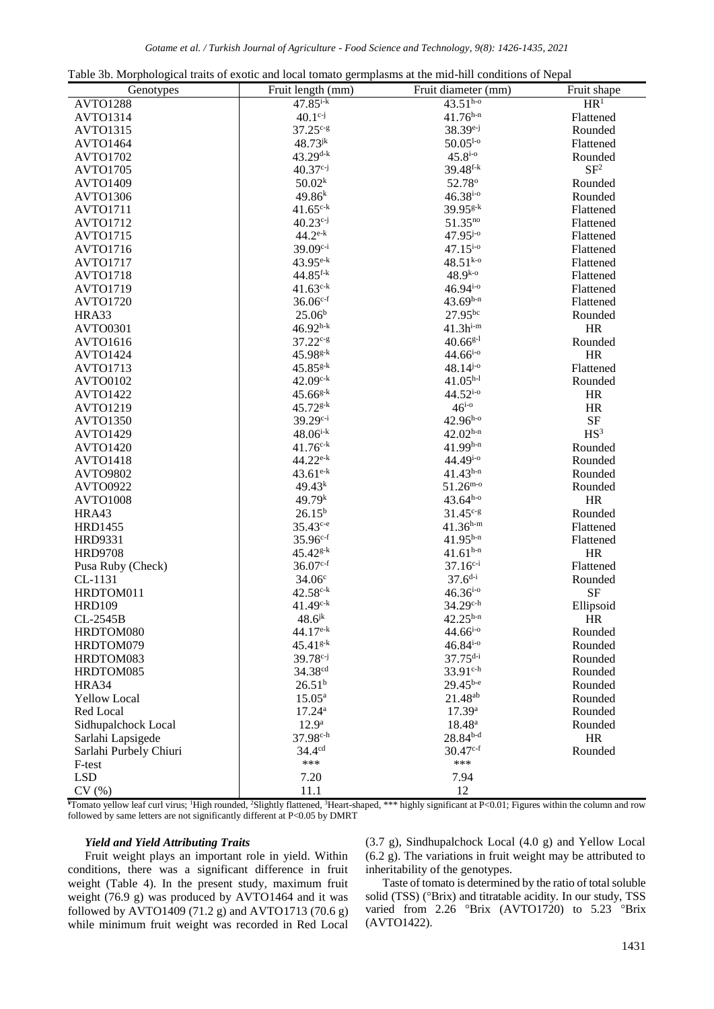|  |  |  | Table 3b. Morphological traits of exotic and local tomato germplasms at the mid-hill conditions of Nepal |  |
|--|--|--|----------------------------------------------------------------------------------------------------------|--|
|  |  |  |                                                                                                          |  |

| Fruit length (mm)<br>Fruit diameter (mm)<br>Fruit shape<br>Genotypes<br>$47.85^{i-k}$<br>$43.51^{h-o}$<br>HR <sup>1</sup><br><b>AVTO1288</b><br>$41.76^{h-n}$<br><b>AVTO1314</b><br>$40.1^{c-j}$<br>Flattened<br>$37.25c-g$<br>38.39 <sup>e-j</sup><br><b>AVTO1315</b><br>Rounded<br>$48.73^{jk}$<br>$50.05^{1-\circ}$<br>AVTO1464<br>Flattened<br>$43.29$ d-k<br>$45.8^{i-0}$<br><b>AVTO1702</b><br>Rounded<br>SF <sup>2</sup><br>$40.37^{c-j}$<br>$39.48$ <sup>f-k</sup><br><b>AVTO1705</b><br>50.02 <sup>k</sup><br>AVTO1409<br>52.78°<br>Rounded<br>$46.38^{i-0}$<br>$49.86^{k}$<br><b>AVTO1306</b><br>Rounded<br>$41.65^{\text{c-k}}$<br>$39.95^{g-k}$<br><b>AVTO1711</b><br>Flattened<br>$40.23^{c-j}$<br>51.35 <sup>no</sup><br><b>AVTO1712</b><br>Flattened |
|---------------------------------------------------------------------------------------------------------------------------------------------------------------------------------------------------------------------------------------------------------------------------------------------------------------------------------------------------------------------------------------------------------------------------------------------------------------------------------------------------------------------------------------------------------------------------------------------------------------------------------------------------------------------------------------------------------------------------------------------------------------------|
|                                                                                                                                                                                                                                                                                                                                                                                                                                                                                                                                                                                                                                                                                                                                                                     |
|                                                                                                                                                                                                                                                                                                                                                                                                                                                                                                                                                                                                                                                                                                                                                                     |
|                                                                                                                                                                                                                                                                                                                                                                                                                                                                                                                                                                                                                                                                                                                                                                     |
|                                                                                                                                                                                                                                                                                                                                                                                                                                                                                                                                                                                                                                                                                                                                                                     |
|                                                                                                                                                                                                                                                                                                                                                                                                                                                                                                                                                                                                                                                                                                                                                                     |
|                                                                                                                                                                                                                                                                                                                                                                                                                                                                                                                                                                                                                                                                                                                                                                     |
|                                                                                                                                                                                                                                                                                                                                                                                                                                                                                                                                                                                                                                                                                                                                                                     |
|                                                                                                                                                                                                                                                                                                                                                                                                                                                                                                                                                                                                                                                                                                                                                                     |
|                                                                                                                                                                                                                                                                                                                                                                                                                                                                                                                                                                                                                                                                                                                                                                     |
|                                                                                                                                                                                                                                                                                                                                                                                                                                                                                                                                                                                                                                                                                                                                                                     |
| $44.2^{\text{e-k}}$<br>$47.95^{j-o}$<br><b>AVTO1715</b><br>Flattened                                                                                                                                                                                                                                                                                                                                                                                                                                                                                                                                                                                                                                                                                                |
| 39.09 <sup>c-i</sup><br>$47.15^{i-0}$<br><b>AVTO1716</b><br>Flattened                                                                                                                                                                                                                                                                                                                                                                                                                                                                                                                                                                                                                                                                                               |
| $43.95^{e-k}$<br>$48.51^{k-o}$<br><b>AVTO1717</b><br>Flattened                                                                                                                                                                                                                                                                                                                                                                                                                                                                                                                                                                                                                                                                                                      |
| $44.85$ <sup>f-k</sup><br>$48.9^{k-o}$<br><b>AVTO1718</b><br>Flattened                                                                                                                                                                                                                                                                                                                                                                                                                                                                                                                                                                                                                                                                                              |
| $41.63^{c-k}$<br>$46.94^{i-0}$<br><b>AVTO1719</b><br>Flattened                                                                                                                                                                                                                                                                                                                                                                                                                                                                                                                                                                                                                                                                                                      |
| $36.06^{c-f}$<br>$43.69^{h-n}$<br><b>AVTO1720</b><br>Flattened                                                                                                                                                                                                                                                                                                                                                                                                                                                                                                                                                                                                                                                                                                      |
| 27.95bc<br>25.06 <sup>b</sup><br>HRA33<br>Rounded                                                                                                                                                                                                                                                                                                                                                                                                                                                                                                                                                                                                                                                                                                                   |
| $46.92^{h-k}$<br>$41.3h^{i-m}$<br>HR<br><b>AVTO0301</b>                                                                                                                                                                                                                                                                                                                                                                                                                                                                                                                                                                                                                                                                                                             |
| $37.22^{c-g}$<br>$40.66^{g-1}$<br>AVTO1616<br>Rounded                                                                                                                                                                                                                                                                                                                                                                                                                                                                                                                                                                                                                                                                                                               |
| 45.98g-k<br>$44.66^{i-0}$<br><b>HR</b><br><b>AVTO1424</b>                                                                                                                                                                                                                                                                                                                                                                                                                                                                                                                                                                                                                                                                                                           |
| $48.14^{j\text{-}o}$<br>$45.85^{g-k}$<br><b>AVTO1713</b><br>Flattened                                                                                                                                                                                                                                                                                                                                                                                                                                                                                                                                                                                                                                                                                               |
| $42.09^{\text{c-k}}$<br>$41.05^{h-l}$<br>AVTO0102<br>Rounded                                                                                                                                                                                                                                                                                                                                                                                                                                                                                                                                                                                                                                                                                                        |
| $45.66^{g-k}$<br>$44.52^{i-0}$<br><b>HR</b><br><b>AVTO1422</b>                                                                                                                                                                                                                                                                                                                                                                                                                                                                                                                                                                                                                                                                                                      |
| $46^{i-0}$<br>$45.72^{g-k}$<br>HR<br>AVTO1219                                                                                                                                                                                                                                                                                                                                                                                                                                                                                                                                                                                                                                                                                                                       |
| 39.29 <sup>c-i</sup><br>$42.96^{h-o}$<br><b>SF</b><br><b>AVTO1350</b>                                                                                                                                                                                                                                                                                                                                                                                                                                                                                                                                                                                                                                                                                               |
| $48.06^{i-k}$<br>$42.02^{h-n}$<br>HS <sup>3</sup><br><b>AVTO1429</b>                                                                                                                                                                                                                                                                                                                                                                                                                                                                                                                                                                                                                                                                                                |
| $41.99^{h-n}$<br>$41.76c-k$<br><b>AVTO1420</b><br>Rounded                                                                                                                                                                                                                                                                                                                                                                                                                                                                                                                                                                                                                                                                                                           |
| $44.22^{e-k}$<br>44.49i-o<br><b>AVTO1418</b><br>Rounded                                                                                                                                                                                                                                                                                                                                                                                                                                                                                                                                                                                                                                                                                                             |
| $43.61^{e-k}$<br>$41.43^{h-n}$<br><b>AVTO9802</b><br>Rounded                                                                                                                                                                                                                                                                                                                                                                                                                                                                                                                                                                                                                                                                                                        |
| $51.26^{\text{m-o}}$<br><b>AVTO0922</b><br>49.43 <sup>k</sup><br>Rounded                                                                                                                                                                                                                                                                                                                                                                                                                                                                                                                                                                                                                                                                                            |
| 49.79 <sup>k</sup><br>$43.64^{h-o}$<br>HR<br><b>AVTO1008</b>                                                                                                                                                                                                                                                                                                                                                                                                                                                                                                                                                                                                                                                                                                        |
| $26.15^{b}$<br>HRA43<br>$31.45^{c-g}$<br>Rounded                                                                                                                                                                                                                                                                                                                                                                                                                                                                                                                                                                                                                                                                                                                    |
| $35.43^{c-e}$<br>$41.36^{h-m}$<br><b>HRD1455</b><br>Flattened                                                                                                                                                                                                                                                                                                                                                                                                                                                                                                                                                                                                                                                                                                       |
| $35.96^{c-f}$<br>$41.95^{h-n}$<br><b>HRD9331</b><br>Flattened                                                                                                                                                                                                                                                                                                                                                                                                                                                                                                                                                                                                                                                                                                       |
| $45.42^{g-k}$<br>$41.61^{h-n}$<br><b>HRD9708</b><br><b>HR</b>                                                                                                                                                                                                                                                                                                                                                                                                                                                                                                                                                                                                                                                                                                       |
| $36.07c-f$<br>$37.16^{c-i}$<br>Pusa Ruby (Check)<br>Flattened                                                                                                                                                                                                                                                                                                                                                                                                                                                                                                                                                                                                                                                                                                       |
| $37.6^{d-i}$<br>34.06 <sup>c</sup><br>CL-1131<br>Rounded                                                                                                                                                                                                                                                                                                                                                                                                                                                                                                                                                                                                                                                                                                            |
| $42.58c-k$<br>$46.36^{i-0}$<br>HRDTOM011<br><b>SF</b>                                                                                                                                                                                                                                                                                                                                                                                                                                                                                                                                                                                                                                                                                                               |
| $41.49c-k$<br>$34.29^{\text{c-h}}$<br><b>HRD109</b><br>Ellipsoid                                                                                                                                                                                                                                                                                                                                                                                                                                                                                                                                                                                                                                                                                                    |
| $48.6^{jk}$<br>$42.25^{h-n}$<br>CL-2545B<br>HR.                                                                                                                                                                                                                                                                                                                                                                                                                                                                                                                                                                                                                                                                                                                     |
| $44.17e-k$<br>$44.66^{i-0}$<br>HRDTOM080<br>Rounded                                                                                                                                                                                                                                                                                                                                                                                                                                                                                                                                                                                                                                                                                                                 |
| $45.41^{g-k}$<br>$46.84^{i-0}$<br>HRDTOM079<br>Rounded                                                                                                                                                                                                                                                                                                                                                                                                                                                                                                                                                                                                                                                                                                              |
| $37.75^{d-i}$<br>$39.78^{c-j}$<br>HRDTOM083<br>Rounded                                                                                                                                                                                                                                                                                                                                                                                                                                                                                                                                                                                                                                                                                                              |
| 34.38 <sup>cd</sup><br>$33.91^{c-h}$<br>HRDTOM085<br>Rounded                                                                                                                                                                                                                                                                                                                                                                                                                                                                                                                                                                                                                                                                                                        |
| $29.45^{b-e}$<br>26.51 <sup>b</sup><br>HRA34<br>Rounded                                                                                                                                                                                                                                                                                                                                                                                                                                                                                                                                                                                                                                                                                                             |
| 21.48 <sup>ab</sup><br>$15.05^{\rm a}$<br><b>Yellow Local</b><br>Rounded                                                                                                                                                                                                                                                                                                                                                                                                                                                                                                                                                                                                                                                                                            |
| Red Local<br>17.24a<br>17.39a<br>Rounded                                                                                                                                                                                                                                                                                                                                                                                                                                                                                                                                                                                                                                                                                                                            |
| 12.9 <sup>a</sup><br>$18.48^a$<br>Sidhupalchock Local<br>Rounded                                                                                                                                                                                                                                                                                                                                                                                                                                                                                                                                                                                                                                                                                                    |
| $37.98^{c-h}$<br>$28.84^{b-d}$<br>HR<br>Sarlahi Lapsigede                                                                                                                                                                                                                                                                                                                                                                                                                                                                                                                                                                                                                                                                                                           |
| 34.4 <sup>cd</sup><br>$30.47^{c-f}$<br>Rounded<br>Sarlahi Purbely Chiuri                                                                                                                                                                                                                                                                                                                                                                                                                                                                                                                                                                                                                                                                                            |
| ***<br>***<br>F-test                                                                                                                                                                                                                                                                                                                                                                                                                                                                                                                                                                                                                                                                                                                                                |
| <b>LSD</b><br>7.20<br>7.94                                                                                                                                                                                                                                                                                                                                                                                                                                                                                                                                                                                                                                                                                                                                          |
| 12<br>CV(%)<br>11.1                                                                                                                                                                                                                                                                                                                                                                                                                                                                                                                                                                                                                                                                                                                                                 |

**¥**Tomato yellow leaf curl virus; <sup>1</sup>High rounded, <sup>2</sup>Slightly flattened, <sup>3</sup>Heart-shaped, \*\*\* highly significant at P<0.01; Figures within the column and row followed by same letters are not significantly different at P<0.05 by DMRT

#### *Yield and Yield Attributing Traits*

Fruit weight plays an important role in yield. Within conditions, there was a significant difference in fruit weight (Table 4). In the present study, maximum fruit weight (76.9 g) was produced by AVTO1464 and it was followed by AVTO1409 (71.2 g) and AVTO1713 (70.6 g) while minimum fruit weight was recorded in Red Local (3.7 g), Sindhupalchock Local (4.0 g) and Yellow Local (6.2 g). The variations in fruit weight may be attributed to inheritability of the genotypes.

Taste of tomato is determined by the ratio of total soluble solid (TSS) (°Brix) and titratable acidity. In our study, TSS varied from 2.26 °Brix (AVTO1720) to 5.23 °Brix (AVTO1422).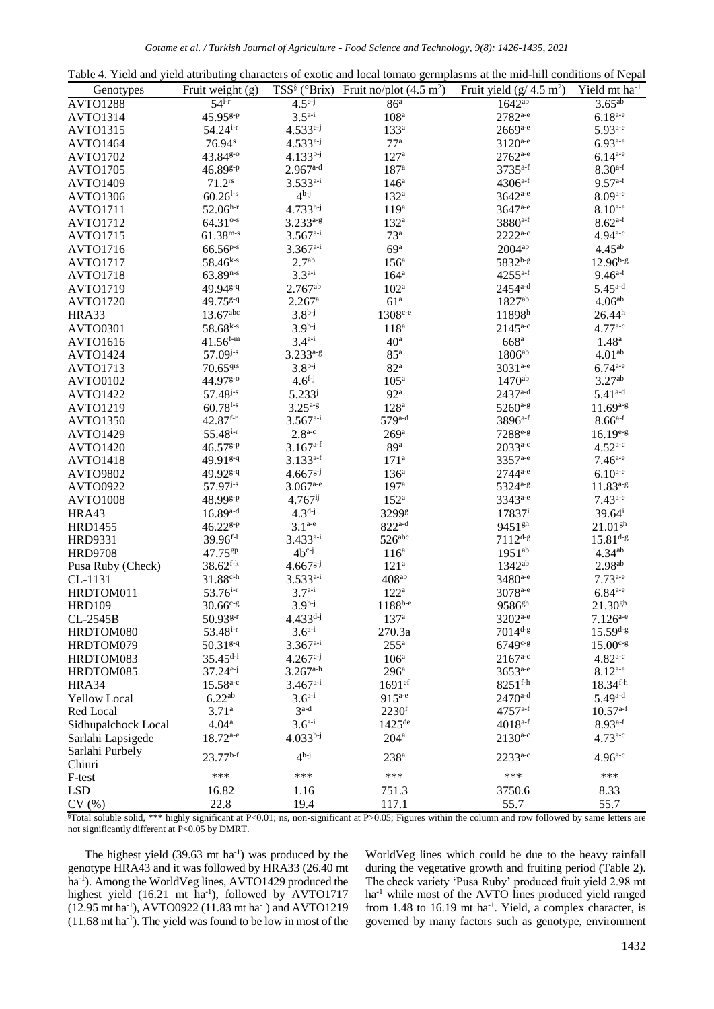|  |  | Table 4. Yield and yield attributing characters of exotic and local tomato germplasms at the mid-hill conditions of Nepal |  |  |  |
|--|--|---------------------------------------------------------------------------------------------------------------------------|--|--|--|
|--|--|---------------------------------------------------------------------------------------------------------------------------|--|--|--|

| Genotypes           | Fruit weight (g)       | $TSS^{\S}$ ( ${}^{\circ}Brix$ ) | Fruit no/plot $(4.5 \text{ m}^2)$ | Fruit yield $(g/4.5 \text{ m}^2)$ | Yield $mt$ ha <sup>-1</sup> |
|---------------------|------------------------|---------------------------------|-----------------------------------|-----------------------------------|-----------------------------|
| <b>AVTO1288</b>     | $54^{i-r}$             | $4.5^{e-j}$                     | 86 <sup>a</sup>                   | $1642^{ab}$                       | $3.65^{ab}$                 |
| <b>AVTO1314</b>     | 45.95 <sup>g-p</sup>   | $3.5^{a-i}$                     | 108 <sup>a</sup>                  | 2782 <sup>a-e</sup>               | $6.18^{a-e}$                |
| <b>AVTO1315</b>     | $54.24$ <sup>i-r</sup> | $4.533^{e-j}$                   | 133 <sup>a</sup>                  | $2669$ <sub>a-e</sub>             | $5.93^{a-e}$                |
| <b>AVTO1464</b>     | $76.94^s$              | $4.533^{e-j}$                   | 77 <sup>a</sup>                   | $3120^{a-e}$                      | $6.93^{a-e}$                |
| <b>AVTO1702</b>     | 43.84g-0               | $4.133^{b-j}$                   | 127 <sup>a</sup>                  | $2762^{a-e}$                      | $6.14^{a-e}$                |
| <b>AVTO1705</b>     | 46.89 <sup>g-p</sup>   | $2.967$ <sup>a-d</sup>          | 187 <sup>a</sup>                  | 3735 <sup>a-f</sup>               | $8.30^{a-f}$                |
| <b>AVTO1409</b>     | 71.2 <sup>rs</sup>     | $3.533^{a-i}$                   | 146 <sup>a</sup>                  | $4306^{a-f}$                      | $9.57^{a-f}$                |
| <b>AVTO1306</b>     | $60.26^{1-s}$          | $4^{b-j}$                       | 132 <sup>a</sup>                  | 3642 <sup>a-e</sup>               | $8.09^{a-e}$                |
| <b>AVTO1711</b>     | $52.06^{h-r}$          | $4.733^{h-j}$                   | 119 <sup>a</sup>                  | 3647 <sup>a-e</sup>               | $8.10^{a-e}$                |
| <b>AVTO1712</b>     | $64.31o-s$             | $3.233^{a-g}$                   | 132 <sup>a</sup>                  | 3880 <sup>a-f</sup>               | $8.62^{a-f}$                |
| <b>AVTO1715</b>     | $61.38^{m-s}$          | $3.567a-i$                      | 73 <sup>a</sup>                   | $2222^{a-c}$                      | $4.94^{a-c}$                |
| AVTO1716            | $66.56^{p-s}$          | $3.367a-i$                      | 69 <sup>a</sup>                   | $2004^{ab}$                       | $4.45^{ab}$                 |
| <b>AVTO1717</b>     | $58.46^{k-s}$          | 2.7 <sup>ab</sup>               | 156 <sup>a</sup>                  | 5832 <sup>b-g</sup>               | $12.96^{b-g}$               |
| <b>AVTO1718</b>     | $63.89^{n-s}$          | $3.3^{a-i}$                     | 164 <sup>a</sup>                  | $4255^{a-f}$                      | $9.46^{a-f}$                |
| <b>AVTO1719</b>     | 49.94 <sup>g-q</sup>   | $2.767^{ab}$                    | 102 <sup>a</sup>                  | $2454^{a-d}$                      | $5.45^{a-d}$                |
| <b>AVTO1720</b>     | $49.75^{g-q}$          | $2.267$ <sup>a</sup>            | 61 <sup>a</sup>                   | 1827ab                            | 4.06 <sup>ab</sup>          |
| HRA33               | $13.67$ abc            | $3.8^{b-j}$                     | 1308 <sup>c-e</sup>               | 11898h                            | 26.44 <sup>h</sup>          |
| <b>AVTO0301</b>     | $58.68$ <sup>k-s</sup> | $3.9b-j$                        | 118 <sup>a</sup>                  | $2145^{a-c}$                      | $4.77^{a-c}$                |
| AVTO1616            | $41.56$ <sup>f-m</sup> | $3.4^{a-i}$                     | 40 <sup>a</sup>                   | $668$ <sup>a</sup>                | 1.48 <sup>a</sup>           |
| <b>AVTO1424</b>     | $57.09^{j-s}$          | $3.233^{a-g}$                   | 85 <sup>a</sup>                   | 1806 <sup>ab</sup>                | $4.01^{ab}$                 |
| <b>AVTO1713</b>     | 70.65 <sup>qrs</sup>   | $3.8^{b-j}$                     | $82^{\mathrm{a}}$                 | 3031 <sup>a-e</sup>               | $6.74^{a-e}$                |
| <b>AVTO0102</b>     | $44.97g-o$             | $4.6^{f-j}$                     | 105 <sup>a</sup>                  | $1470$ <sup>ab</sup>              | $3.27^{ab}$                 |
| <b>AVTO1422</b>     | $57.48^{j-s}$          | $5.233^{j}$                     | 92 <sup>a</sup>                   | $2437^{a-d}$                      | $5.41^{a-d}$                |
| <b>AVTO1219</b>     | $60.78$ <sup>1-s</sup> | $3.25^{a-g}$                    | 128 <sup>a</sup>                  | $5260^{a-g}$                      | $11.69^{a-g}$               |
| <b>AVTO1350</b>     | $42.87$ <sup>f-n</sup> | $3.567a-i$                      | $579$ <sup>a-d</sup>              | $3896^{a-f}$                      | $8.66^{a-f}$                |
| <b>AVTO1429</b>     | $55.48$ <sup>i-r</sup> | $2.8^{a-c}$                     | 269 <sup>a</sup>                  | 7288 <sup>e-g</sup>               | $16.19^{e-g}$               |
| <b>AVTO1420</b>     | 46.57 <sup>g-p</sup>   | $3.167^{a-f}$                   | 89 <sup>a</sup>                   | $2033^{a-c}$                      | $4.52^{a-c}$                |
| <b>AVTO1418</b>     | $49.91g-q$             | $3.133^{a-f}$                   | 171 <sup>a</sup>                  | 3357 <sup>a-e</sup>               | $7.46^{a-e}$                |
| <b>AVTO9802</b>     | 49.92 <sup>g-q</sup>   | $4.667^{g-j}$                   | 136 <sup>a</sup>                  | $2744^{a-e}$                      | $6.10^{a-e}$                |
| <b>AVTO0922</b>     | 57.97 <sup>j-s</sup>   | $3.067$ <sup>a-e</sup>          | 197 <sup>a</sup>                  | 5324 <sup>a-g</sup>               | $11.83^{a-g}$               |
| AVTO1008            | 48.99 <sup>g-p</sup>   | $4.767$ <sup>ij</sup>           | 152 <sup>a</sup>                  | 3343 <sup>a-e</sup>               | $7.43^{a-e}$                |
| HRA43               | $16.89$ <sup>a-d</sup> | $4.3^{d-j}$                     | 3299g                             | 17837 <sup>i</sup>                | $39.64^{\mathrm{i}}$        |
| <b>HRD1455</b>      | $46.22$ g-p            | $3.1^{a-e}$                     | $822^{a-d}$                       | $9451$ <sup>gh</sup>              | $21.01$ gh                  |
| <b>HRD9331</b>      | $39.96^{f-1}$          | $3.433^{a-i}$                   | $526$ <sup>abc</sup>              | $7112^{d-g}$                      | $15.81^{d-g}$               |
| <b>HRD9708</b>      | 47.75 <sup>gp</sup>    | $4b^{c-j}$                      | 116 <sup>a</sup>                  | $1951^{ab}$                       | 4.34 <sup>ab</sup>          |
| Pusa Ruby (Check)   | $38.62$ <sup>f-k</sup> | $4.667g^{-j}$                   | 121 <sup>a</sup>                  | 1342 <sup>ab</sup>                | 2.98 <sup>ab</sup>          |
| CL-1131             | $31.88c$ -h            | $3.533^{a-i}$                   | 408 <sup>ab</sup>                 | 3480 <sup>a-e</sup>               | $7.73^{a-e}$                |
| HRDTOM011           | $53.76$ <sup>i-r</sup> | $3.7a-i$                        | 122 <sup>a</sup>                  | 3078 <sup>a-e</sup>               | $6.84^{a-e}$                |
| <b>HRD109</b>       | $30.66^{c-g}$          | $3.9b-j$                        | $1188^{b-e}$                      | 9586 <sup>gh</sup>                | $21.30^{gh}$                |
| CL-2545B            | 50.93g-r               | $4.433^{d-j}$                   | 137 <sup>a</sup>                  | 3202 <sup>a-e</sup>               | $7.126^{a-e}$               |
| HRDTOM080           | $53.48$ <sub>i-r</sub> | $3.6^{a-i}$                     | 270.3a                            | $7014^{d-g}$                      | $15.59^{d-g}$               |
| HRDTOM079           | 50.31 g-q              | $3.367a - i$                    | $255^{\mathrm{a}}$                | 6749 <sup>c-g</sup>               | $15.00^{c-g}$               |
| HRDTOM083           | $35.45^{d-i}$          | $4.267^{c-j}$                   | 106 <sup>a</sup>                  | $2167^{a-c}$                      | $4.82^{a-c}$                |
| HRDTOM085           | $37.24^{e-j}$          | $3.267^{a-h}$                   | 296 <sup>a</sup>                  | $3653^{a-e}$                      | $8.12^{a-e}$                |
| HRA34               | $15.58^{a-c}$          | $3.467a-i$                      | 1691 <sup>ef</sup>                | 8251f-h                           | $18.34^{f-h}$               |
| <b>Yellow Local</b> | $6.22^{ab}$            | $3.6^{a-i}$                     | $915^{a-e}$                       | $2470^{a-d}$                      | $5.49^{a-d}$                |
| Red Local           | 3.71 <sup>a</sup>      | $3a-d$                          | $2230$ f                          | 4757 <sup>a-f</sup>               | $10.57^{a-f}$               |
| Sidhupalchock Local | 4.04 <sup>a</sup>      | $3.6^{a-i}$                     | $1425$ <sup>de</sup>              | $4018^{a-f}$                      | $8.93^{a-f}$                |
| Sarlahi Lapsigede   | $18.72^{a-e}$          | $4.033^{b-j}$                   | 204 <sup>a</sup>                  | $2130^{a-c}$                      | $4.73^{a-c}$                |
| Sarlahi Purbely     |                        |                                 |                                   |                                   |                             |
| Chiuri              | $23.77^{b-f}$          | $4b-j$                          | 238 <sup>a</sup>                  | $2233^{a-c}$                      | $4.96^{a-c}$                |
| F-test              | ***                    | ***                             | ***                               | ***                               | ***                         |
| <b>LSD</b>          | 16.82                  | 1.16                            | 751.3                             | 3750.6                            | 8.33                        |
| CV(%)               | 22.8                   | 19.4                            | 117.1                             | 55.7                              | 55.7                        |

**§**Total soluble solid, \*\*\* highly significant at P<0.01; ns, non-significant at P>0.05; Figures within the column and row followed by same letters are not significantly different at P<0.05 by DMRT.

The highest yield  $(39.63 \text{ mt ha}^{-1})$  was produced by the genotype HRA43 and it was followed by HRA33 (26.40 mt ha<sup>-1</sup>). Among the WorldVeg lines, AVTO1429 produced the highest yield  $(16.21 \text{ mt} \text{ ha}^{-1})$ , followed by AVTO1717  $(12.95 \text{ mt ha}^{-1})$ , AVTO0922  $(11.83 \text{ mt ha}^{-1})$  and AVTO1219 (11.68 mt ha-1 ). The yield was found to be low in most of the

WorldVeg lines which could be due to the heavy rainfall during the vegetative growth and fruiting period (Table 2). The check variety 'Pusa Ruby' produced fruit yield 2.98 mt ha<sup>-1</sup> while most of the AVTO lines produced yield ranged from 1.48 to 16.19 mt ha<sup>-1</sup>. Yield, a complex character, is governed by many factors such as genotype, environment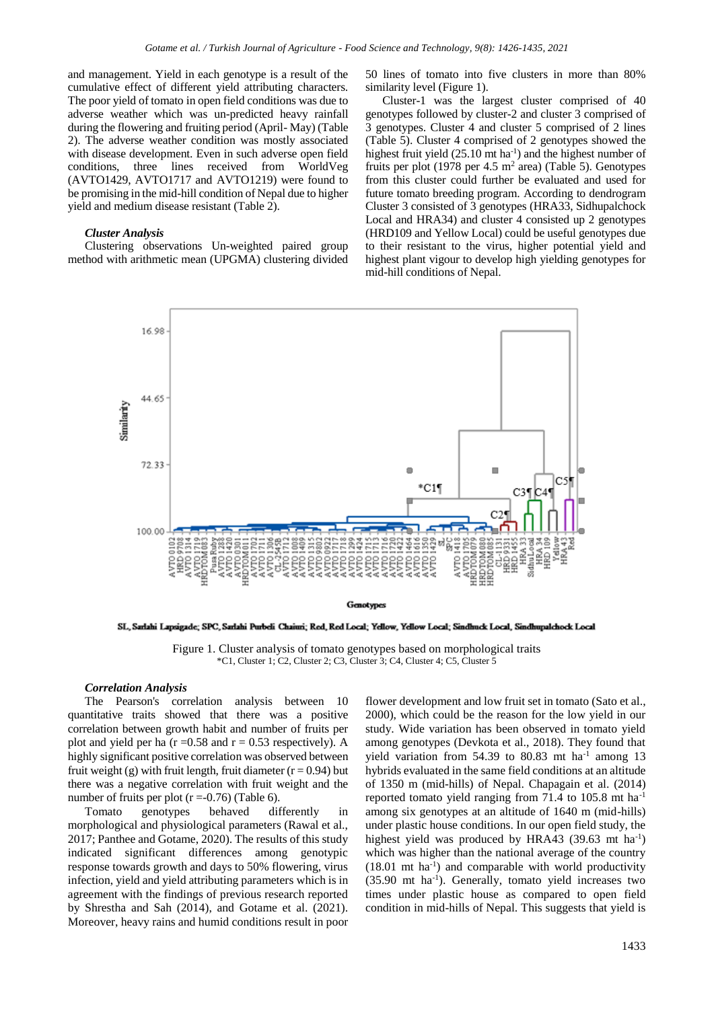and management. Yield in each genotype is a result of the cumulative effect of different yield attributing characters. The poor yield of tomato in open field conditions was due to adverse weather which was un-predicted heavy rainfall during the flowering and fruiting period (April- May) (Table 2). The adverse weather condition was mostly associated with disease development. Even in such adverse open field conditions, three lines received from WorldVeg (AVTO1429, AVTO1717 and AVTO1219) were found to be promising in the mid-hill condition of Nepal due to higher yield and medium disease resistant (Table 2).

#### *Cluster Analysis*

Clustering observations Un-weighted paired group method with arithmetic mean (UPGMA) clustering divided 50 lines of tomato into five clusters in more than 80% similarity level (Figure 1).

Cluster-1 was the largest cluster comprised of 40 genotypes followed by cluster-2 and cluster 3 comprised of 3 genotypes. Cluster 4 and cluster 5 comprised of 2 lines (Table 5). Cluster 4 comprised of 2 genotypes showed the highest fruit yield  $(25.10 \text{ mt ha}^{-1})$  and the highest number of fruits per plot  $(1978 \text{ per } 4.5 \text{ m}^2 \text{ area})$  (Table 5). Genotypes from this cluster could further be evaluated and used for future tomato breeding program. According to dendrogram Cluster 3 consisted of 3 genotypes (HRA33, Sidhupalchock Local and HRA34) and cluster 4 consisted up 2 genotypes (HRD109 and Yellow Local) could be useful genotypes due to their resistant to the virus, higher potential yield and highest plant vigour to develop high yielding genotypes for mid-hill conditions of Nepal.



SL, Sarlahi Lapsigade; SPC, Sarlahi Purbeli Chaiuri; Red, Red Local; Yellow, Yellow Local; Sindhuck Local, Sindhupalchock Local

Figure 1. Cluster analysis of tomato genotypes based on morphological traits \*C1, Cluster 1; C2, Cluster 2; C3, Cluster 3; C4, Cluster 4; C5, Cluster 5

#### *Correlation Analysis*

The Pearson's correlation analysis between 10 quantitative traits showed that there was a positive correlation between growth habit and number of fruits per plot and yield per ha ( $r = 0.58$  and  $r = 0.53$  respectively). A highly significant positive correlation was observed between fruit weight (g) with fruit length, fruit diameter ( $r = 0.94$ ) but there was a negative correlation with fruit weight and the number of fruits per plot  $(r = -0.76)$  (Table 6).

Tomato genotypes behaved differently in morphological and physiological parameters (Rawal et al., 2017; Panthee and Gotame, 2020). The results of this study indicated significant differences among genotypic response towards growth and days to 50% flowering, virus infection, yield and yield attributing parameters which is in agreement with the findings of previous research reported by Shrestha and Sah (2014), and Gotame et al. (2021). Moreover, heavy rains and humid conditions result in poor flower development and low fruit set in tomato (Sato et al., 2000), which could be the reason for the low yield in our study. Wide variation has been observed in tomato yield among genotypes (Devkota et al., 2018). They found that yield variation from  $54.39$  to  $80.83$  mt ha<sup>-1</sup> among 13 hybrids evaluated in the same field conditions at an altitude of 1350 m (mid-hills) of Nepal. Chapagain et al. (2014) reported tomato yield ranging from 71.4 to 105.8 mt ha-1 among six genotypes at an altitude of 1640 m (mid-hills) under plastic house conditions. In our open field study, the highest yield was produced by HRA43 (39.63 mt ha<sup>-1</sup>) which was higher than the national average of the country (18.01 mt ha-1 ) and comparable with world productivity (35.90 mt ha-1 ). Generally, tomato yield increases two times under plastic house as compared to open field condition in mid-hills of Nepal. This suggests that yield is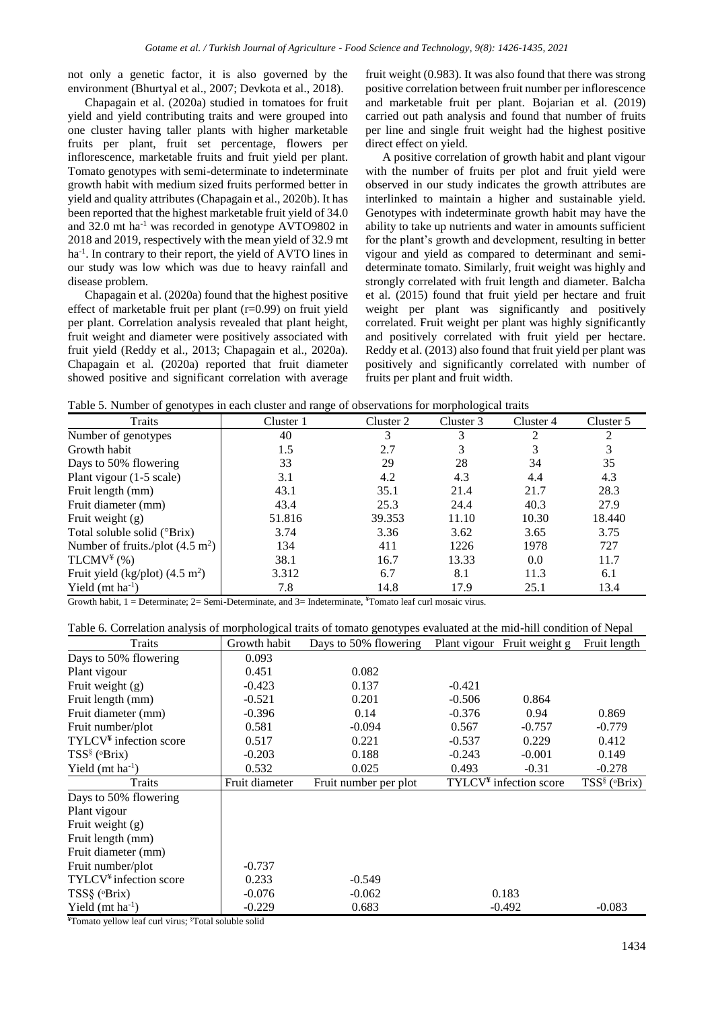not only a genetic factor, it is also governed by the environment (Bhurtyal et al., 2007; Devkota et al., 2018).

Chapagain et al. (2020a) studied in tomatoes for fruit yield and yield contributing traits and were grouped into one cluster having taller plants with higher marketable fruits per plant, fruit set percentage, flowers per inflorescence, marketable fruits and fruit yield per plant. Tomato genotypes with semi-determinate to indeterminate growth habit with medium sized fruits performed better in yield and quality attributes (Chapagain et al., 2020b). It has been reported that the highest marketable fruit yield of 34.0 and  $32.0$  mt ha<sup>-1</sup> was recorded in genotype AVTO9802 in 2018 and 2019, respectively with the mean yield of 32.9 mt ha<sup>-1</sup>. In contrary to their report, the yield of AVTO lines in our study was low which was due to heavy rainfall and disease problem.

Chapagain et al. (2020a) found that the highest positive effect of marketable fruit per plant (r=0.99) on fruit yield per plant. Correlation analysis revealed that plant height, fruit weight and diameter were positively associated with fruit yield (Reddy et al., 2013; Chapagain et al., 2020a). Chapagain et al. (2020a) reported that fruit diameter showed positive and significant correlation with average fruit weight (0.983). It was also found that there was strong positive correlation between fruit number per inflorescence and marketable fruit per plant. Bojarian et al. (2019) carried out path analysis and found that number of fruits per line and single fruit weight had the highest positive direct effect on yield.

A positive correlation of growth habit and plant vigour with the number of fruits per plot and fruit yield were observed in our study indicates the growth attributes are interlinked to maintain a higher and sustainable yield. Genotypes with indeterminate growth habit may have the ability to take up nutrients and water in amounts sufficient for the plant's growth and development, resulting in better vigour and yield as compared to determinant and semideterminate tomato. Similarly, fruit weight was highly and strongly correlated with fruit length and diameter. Balcha et al. (2015) found that fruit yield per hectare and fruit weight per plant was significantly and positively correlated. Fruit weight per plant was highly significantly and positively correlated with fruit yield per hectare. Reddy et al. (2013) also found that fruit yield per plant was positively and significantly correlated with number of fruits per plant and fruit width.

Table 5. Number of genotypes in each cluster and range of observations for morphological traits

| Traits                                     | Cluster 1 | Cluster 2 | Cluster 3 | Cluster 4 | Cluster 5 |
|--------------------------------------------|-----------|-----------|-----------|-----------|-----------|
| Number of genotypes                        | 40        |           |           |           | 2         |
| Growth habit                               | 1.5       | 2.7       |           | 3         | 3         |
| Days to 50% flowering                      | 33        | 29        | 28        | 34        | 35        |
| Plant vigour (1-5 scale)                   | 3.1       | 4.2       | 4.3       | 4.4       | 4.3       |
| Fruit length (mm)                          | 43.1      | 35.1      | 21.4      | 21.7      | 28.3      |
| Fruit diameter (mm)                        | 43.4      | 25.3      | 24.4      | 40.3      | 27.9      |
| Fruit weight $(g)$                         | 51.816    | 39.353    | 11.10     | 10.30     | 18.440    |
| Total soluble solid (°Brix)                | 3.74      | 3.36      | 3.62      | 3.65      | 3.75      |
| Number of fruits./plot $(4.5 \text{ m}^2)$ | 134       | 411       | 1226      | 1978      | 727       |
| TLCMV <sup>4</sup> (%)                     | 38.1      | 16.7      | 13.33     | 0.0       | 11.7      |
| Fruit yield (kg/plot) $(4.5 \text{ m}^2)$  | 3.312     | 6.7       | 8.1       | 11.3      | 6.1       |
| Yield ( $mt$ ha <sup>-1</sup> )            | 7.8       | 14.8      | 17.9      | 25.1      | 13.4      |

Growth habit, 1 = Determinate; 2= Semi-Determinate, and 3= Indeterminate, **¥**Tomato leaf curl mosaic virus.

| Table 6. Correlation analysis of morphological traits of tomato genotypes evaluated at the mid-hill condition of Nepal |                |                                                   |          |                          |                       |  |
|------------------------------------------------------------------------------------------------------------------------|----------------|---------------------------------------------------|----------|--------------------------|-----------------------|--|
| Traits                                                                                                                 | Growth habit   | Days to 50% flowering Plant vigour Fruit weight g |          |                          | Fruit length          |  |
| Days to 50% flowering                                                                                                  | 0.093          |                                                   |          |                          |                       |  |
| Plant vigour                                                                                                           | 0.451          | 0.082                                             |          |                          |                       |  |
| Fruit weight $(g)$                                                                                                     | $-0.423$       | 0.137                                             | $-0.421$ |                          |                       |  |
| Fruit length (mm)                                                                                                      | $-0.521$       | 0.201                                             | $-0.506$ | 0.864                    |                       |  |
| Fruit diameter (mm)                                                                                                    | $-0.396$       | 0.14                                              | $-0.376$ | 0.94                     | 0.869                 |  |
| Fruit number/plot                                                                                                      | 0.581          | $-0.094$                                          | 0.567    | $-0.757$                 | $-0.779$              |  |
| $TYLCV4$ infection score                                                                                               | 0.517          | 0.221                                             | $-0.537$ | 0.229                    | 0.412                 |  |
| $TSS^{\S}$ ( $\Phi$ Fix)                                                                                               | $-0.203$       | 0.188                                             | $-0.243$ | $-0.001$                 | 0.149                 |  |
| Yield ( $mt$ ha <sup>-1</sup> )                                                                                        | 0.532          | 0.025                                             | 0.493    | $-0.31$                  | $-0.278$              |  |
| Traits                                                                                                                 | Fruit diameter | Fruit number per plot                             |          | $TYLCV4$ infection score | $TSS^{\S}$ ( $Brix$ ) |  |
| Days to 50% flowering                                                                                                  |                |                                                   |          |                          |                       |  |
| Plant vigour                                                                                                           |                |                                                   |          |                          |                       |  |
| Fruit weight $(g)$                                                                                                     |                |                                                   |          |                          |                       |  |
| Fruit length (mm)                                                                                                      |                |                                                   |          |                          |                       |  |
| Fruit diameter (mm)                                                                                                    |                |                                                   |          |                          |                       |  |
| Fruit number/plot                                                                                                      | $-0.737$       |                                                   |          |                          |                       |  |
| TYLCV <sup>¥</sup> infection score                                                                                     | 0.233          | $-0.549$                                          |          |                          |                       |  |
| $TSS\S$ ( $Brix$ )                                                                                                     | $-0.076$       | $-0.062$                                          |          | 0.183                    |                       |  |
| Yield ( $mt$ ha <sup>-1</sup> )                                                                                        | $-0.229$       | 0.683                                             |          | $-0.492$                 | $-0.083$              |  |

**¥**Tomato yellow leaf curl virus; §Total soluble solid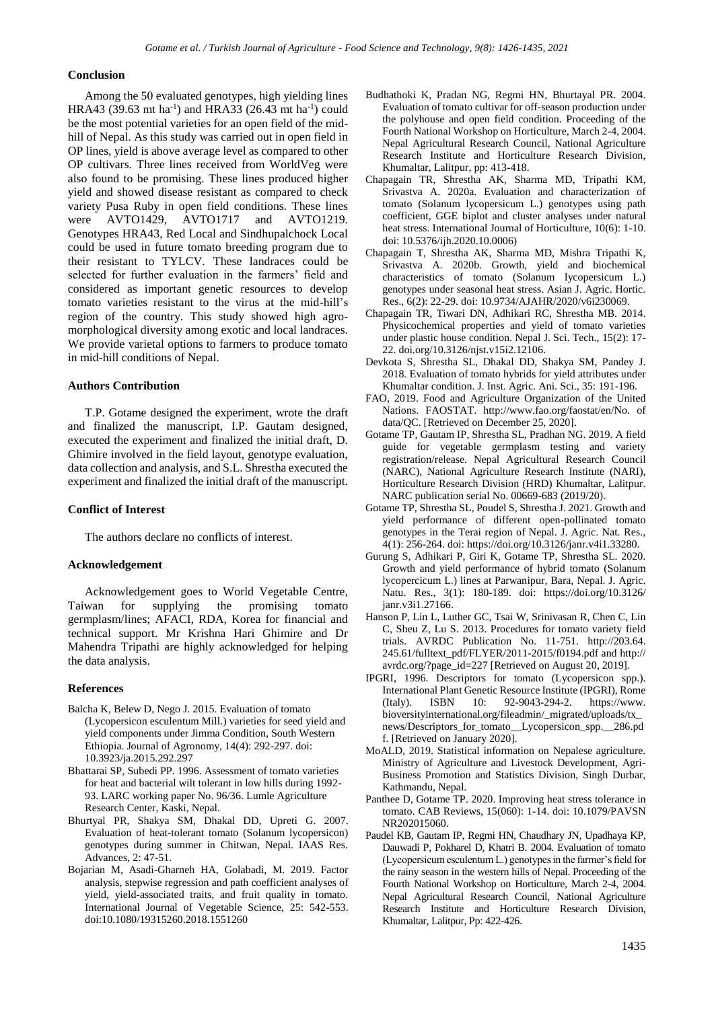#### **Conclusion**

Among the 50 evaluated genotypes, high yielding lines  $HRA43 (39.63 mt ha<sup>-1</sup>)$  and  $HRA33 (26.43 mt ha<sup>-1</sup>)$  could be the most potential varieties for an open field of the midhill of Nepal. As this study was carried out in open field in OP lines, yield is above average level as compared to other OP cultivars. Three lines received from WorldVeg were also found to be promising. These lines produced higher yield and showed disease resistant as compared to check variety Pusa Ruby in open field conditions. These lines were AVTO1429, AVTO1717 and AVTO1219. Genotypes HRA43, Red Local and Sindhupalchock Local could be used in future tomato breeding program due to their resistant to TYLCV. These landraces could be selected for further evaluation in the farmers' field and considered as important genetic resources to develop tomato varieties resistant to the virus at the mid-hill's region of the country. This study showed high agromorphological diversity among exotic and local landraces. We provide varietal options to farmers to produce tomato in mid-hill conditions of Nepal.

## **Authors Contribution**

T.P. Gotame designed the experiment, wrote the draft and finalized the manuscript, I.P. Gautam designed, executed the experiment and finalized the initial draft, D. Ghimire involved in the field layout, genotype evaluation, data collection and analysis, and S.L. Shrestha executed the experiment and finalized the initial draft of the manuscript.

## **Conflict of Interest**

The authors declare no conflicts of interest.

## **Acknowledgement**

Acknowledgement goes to World Vegetable Centre, Taiwan for supplying the promising tomato germplasm/lines; AFACI, RDA, Korea for financial and technical support. Mr Krishna Hari Ghimire and Dr Mahendra Tripathi are highly acknowledged for helping the data analysis.

## **References**

- Balcha K, Belew D, Nego J. 2015. Evaluation of tomato (Lycopersicon esculentum Mill.) varieties for seed yield and yield components under Jimma Condition, South Western Ethiopia. Journal of Agronomy, 14(4): 292-297. doi: 10.3923/ja.2015.292.297
- Bhattarai SP, Subedi PP. 1996. Assessment of tomato varieties for heat and bacterial wilt tolerant in low hills during 1992- 93. LARC working paper No. 96/36. Lumle Agriculture Research Center, Kaski, Nepal.
- Bhurtyal PR, Shakya SM, Dhakal DD, Upreti G. 2007. Evaluation of heat-tolerant tomato (Solanum lycopersicon) genotypes during summer in Chitwan, Nepal. IAAS Res. Advances, 2: 47-51.
- Bojarian M, Asadi-Gharneh HA, Golabadi, M. 2019. Factor analysis, stepwise regression and path coefficient analyses of yield, yield-associated traits, and fruit quality in tomato. International Journal of Vegetable Science, 25: 542-553. doi:10.1080/19315260.2018.1551260
- Budhathoki K, Pradan NG, Regmi HN, Bhurtayal PR. 2004. Evaluation of tomato cultivar for off-season production under the polyhouse and open field condition. Proceeding of the Fourth National Workshop on Horticulture, March 2-4, 2004. Nepal Agricultural Research Council, National Agriculture Research Institute and Horticulture Research Division, Khumaltar, Lalitpur, pp: 413-418.
- Chapagain TR, Shrestha AK, Sharma MD, Tripathi KM, Srivastva A. 2020a. Evaluation and characterization of tomato (Solanum lycopersicum L.) genotypes using path coefficient, GGE biplot and cluster analyses under natural heat stress. International Journal of Horticulture, 10(6): 1-10. doi: 10.5376/ijh.2020.10.0006)
- Chapagain T, Shrestha AK, Sharma MD, Mishra Tripathi K, Srivastva A. 2020b. Growth, yield and biochemical characteristics of tomato (Solanum lycopersicum L.) genotypes under seasonal heat stress. Asian J. Agric. Hortic. Res., 6(2): 22-29. doi: 10.9734/AJAHR/2020/v6i230069.
- Chapagain TR, Tiwari DN, Adhikari RC, Shrestha MB. 2014. Physicochemical properties and yield of tomato varieties under plastic house condition. Nepal J. Sci. Tech., 15(2): 17- 22. doi.org/10.3126/njst.v15i2.12106.
- Devkota S, Shrestha SL, Dhakal DD, Shakya SM, Pandey J. 2018. Evaluation of tomato hybrids for yield attributes under Khumaltar condition. J. Inst. Agric. Ani. Sci., 35: 191-196.
- FAO, 2019. Food and Agriculture Organization of the United Nations. FAOSTAT. http://www.fao.org/faostat/en/No. of data/QC. [Retrieved on December 25, 2020].
- Gotame TP, Gautam IP, Shrestha SL, Pradhan NG. 2019. A field guide for vegetable germplasm testing and variety registration/release. Nepal Agricultural Research Council (NARC), National Agriculture Research Institute (NARI), Horticulture Research Division (HRD) Khumaltar, Lalitpur. NARC publication serial No. 00669-683 (2019/20).
- Gotame TP, Shrestha SL, Poudel S, Shrestha J. 2021. Growth and yield performance of different open-pollinated tomato genotypes in the Terai region of Nepal. J. Agric. Nat. Res., 4(1): 256-264. doi: https://doi.org/10.3126/janr.v4i1.33280.
- Gurung S, Adhikari P, Giri K, Gotame TP, Shrestha SL. 2020. Growth and yield performance of hybrid tomato (Solanum lycopercicum L.) lines at Parwanipur, Bara, Nepal. J. Agric. Natu. Res., 3(1): 180-189. doi: https://doi.org/10.3126/ janr.v3i1.27166.
- Hanson P, Lin L, Luther GC, Tsai W, Srinivasan R, Chen C, Lin C, Sheu Z, Lu S. 2013. Procedures for tomato variety field trials. AVRDC Publication No. 11-751. http://203.64. 245.61/fulltext\_pdf/FLYER/2011-2015/f0194.pdf and http:// avrdc.org/?page\_id=227 [Retrieved on August 20, 2019].
- IPGRI, 1996. Descriptors for tomato (Lycopersicon spp.). International Plant Genetic Resource Institute (IPGRI), Rome (Italy). ISBN 10: 92-9043-294-2. https://www. bioversityinternational.org/fileadmin/\_migrated/uploads/tx\_ news/Descriptors\_for\_tomato\_\_Lycopersicon\_spp.\_\_286.pd f. [Retrieved on January 2020].
- MoALD, 2019. Statistical information on Nepalese agriculture. Ministry of Agriculture and Livestock Development, Agri-Business Promotion and Statistics Division, Singh Durbar, Kathmandu, Nepal.
- Panthee D, Gotame TP. 2020. Improving heat stress tolerance in tomato. CAB Reviews, 15(060): 1-14. doi: 10.1079/PAVSN NR202015060.
- Paudel KB, Gautam IP, Regmi HN, Chaudhary JN, Upadhaya KP, Dauwadi P, Pokharel D, Khatri B. 2004. Evaluation of tomato (Lycopersicum esculentum L.) genotypes in the farmer's field for the rainy season in the western hills of Nepal. Proceeding of the Fourth National Workshop on Horticulture, March 2-4, 2004. Nepal Agricultural Research Council, National Agriculture Research Institute and Horticulture Research Division, Khumaltar, Lalitpur, Pp: 422-426.